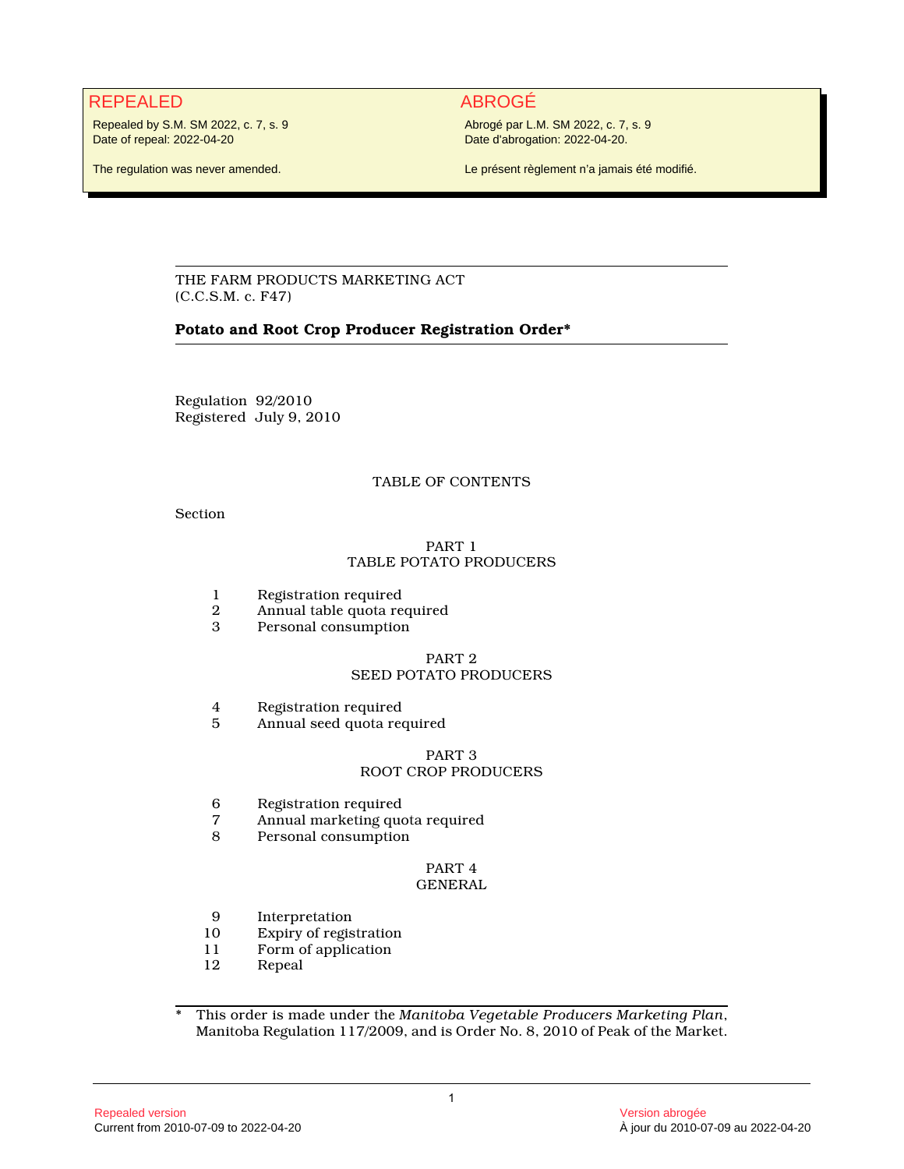# REPEALED ABROGÉ

Repealed by S.M. SM 2022, c. 7, s. 9 Date of repeal: 2022-04-20

Abrogé par L.M. SM 2022, c. 7, s. 9 Date d'abrogation: 2022-04-20.

The regulation was never amended.

Le présent règlement n'a jamais été modifié.

THE FARM PRODUCTS MARKETING ACT (C.C.S.M. c. F47)

# **Potato and Root Crop Producer Registration Order\***

Regulation 92/2010 Registered July 9, 2010

#### TABLE OF CONTENTS

Section

## PART 1 TABLE POTATO PRODUCERS

- 1 Registration required<br>2 Annual table quota re
- 2 Annual table quota required<br>3 Personal consumption
- Personal consumption

# PART 2 SEED POTATO PRODUCERS

- 4 Registration required<br>5 Annual seed quota req
- 5 Annual seed quota required

# PART 3

# ROOT CROP PRODUCERS

- 6 Registration required
- 7 Annual marketing quota required
- Personal consumption

#### PART 4 GENERAL

- 9 Interpretation<br>10 Expiry of regis
- 10 Expiry of registration<br>11 Form of application
- 11 Form of application<br>12 Repeal
- Repeal

\* This order is made under the *Manitoba Vegetable Producers Marketing Plan*, Manitoba Regulation 117/2009, and is Order No. 8, 2010 of Peak of the Market.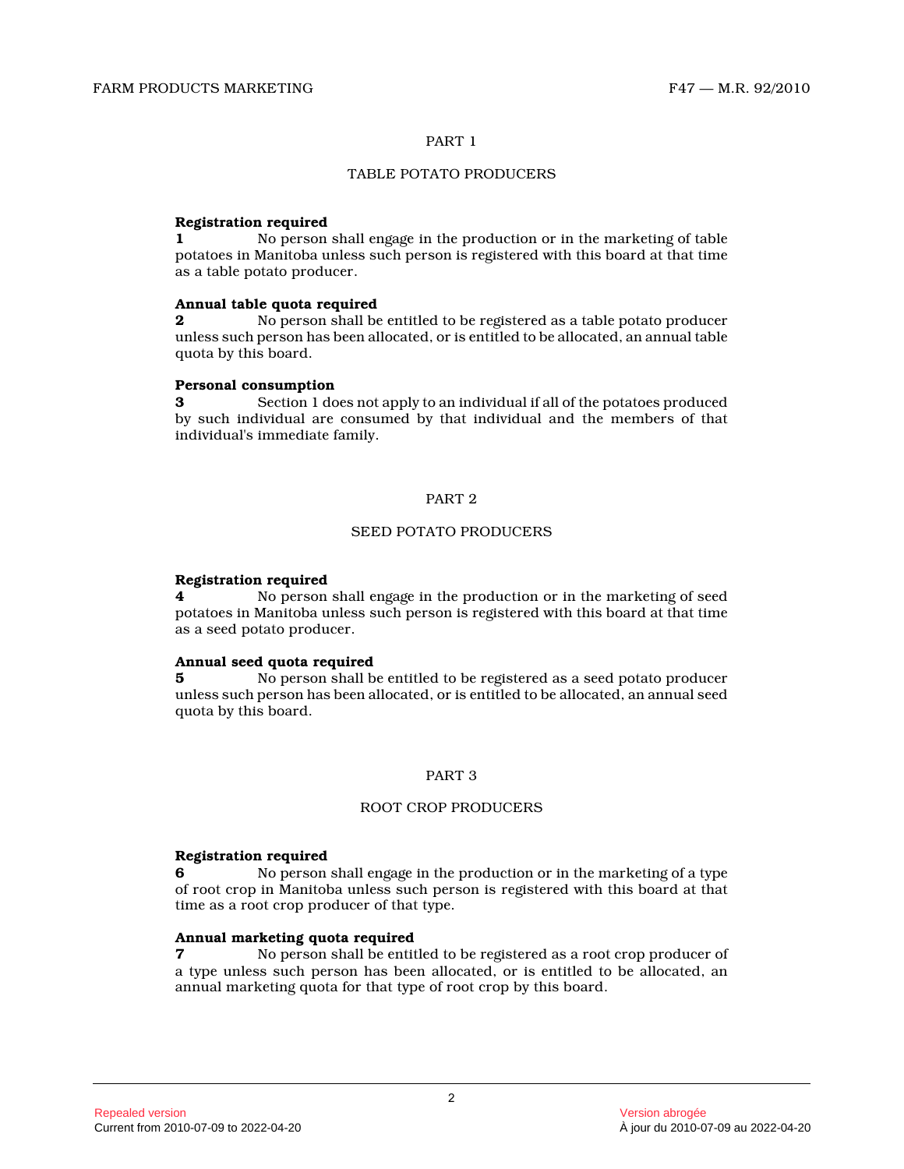## PART 1

# TABLE POTATO PRODUCERS

## **Registration required**

**1** No person shall engage in the production or in the marketing of table potatoes in Manitoba unless such person is registered with this board at that time as a table potato producer.

# **Annual table quota required**

**2** No person shall be entitled to be registered as a table potato producer unless such person has been allocated, or is entitled to be allocated, an annual table quota by this board.

# **Personal consumption**

**3** Section 1 does not apply to an individual if all of the potatoes produced by such individual are consumed by that individual and the members of that individual's immediate family.

# PART 2

# SEED POTATO PRODUCERS

# **Registration required**

**4** No person shall engage in the production or in the marketing of seed potatoes in Manitoba unless such person is registered with this board at that time as a seed potato producer.

#### **Annual seed quota required**

**5** No person shall be entitled to be registered as a seed potato producer unless such person has been allocated, or is entitled to be allocated, an annual seed quota by this board.

#### PART 3

# ROOT CROP PRODUCERS

# **Registration required**

**6** No person shall engage in the production or in the marketing of a type of root crop in Manitoba unless such person is registered with this board at that time as a root crop producer of that type.

#### **Annual marketing quota required**

**7** No person shall be entitled to be registered as a root crop producer of a type unless such person has been allocated, or is entitled to be allocated, an annual marketing quota for that type of root crop by this board.